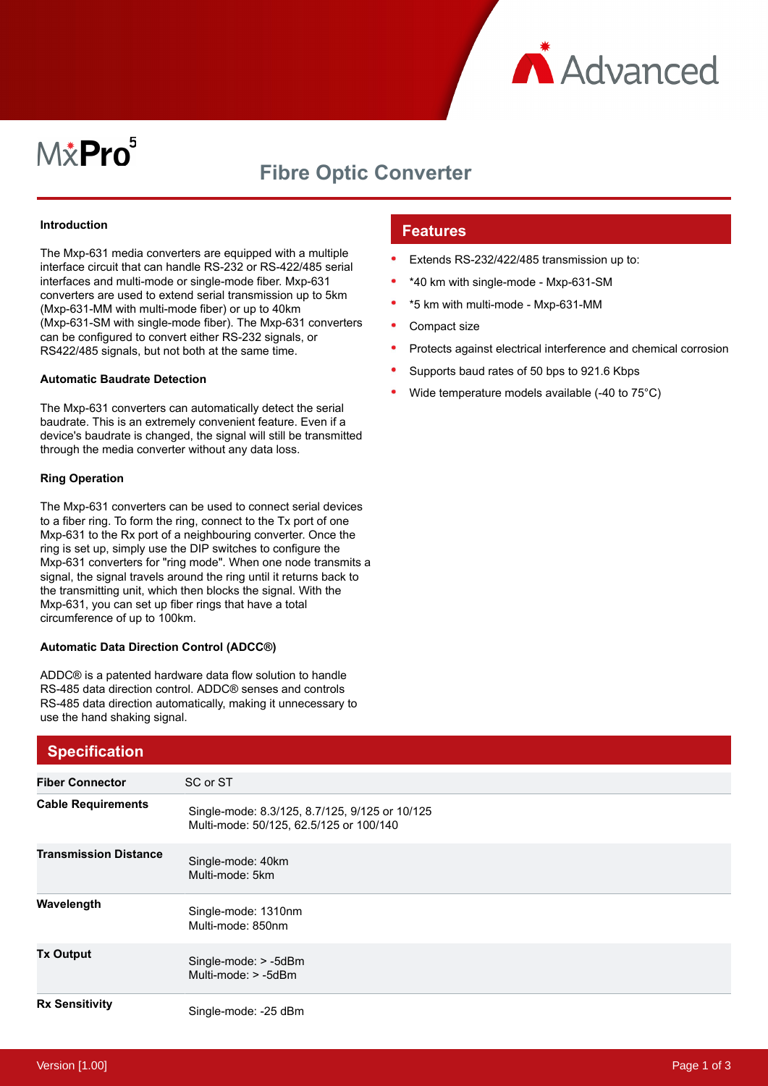

# $M\ddot{x}$ Pro $^5$

## **Fibre Optic Converter**

#### **Introduction**

The Mxp-631 media converters are equipped with a multiple interface circuit that can handle RS-232 or RS-422/485 serial interfaces and multi-mode or single-mode fiber. Mxp-631 converters are used to extend serial transmission up to 5km (Mxp-631-MM with multi-mode fiber) or up to 40km (Mxp-631-SM with single-mode fiber). The Mxp-631 converters can be configured to convert either RS-232 signals, or RS422/485 signals, but not both at the same time.

#### **Automatic Baudrate Detection**

The Mxp-631 converters can automatically detect the serial baudrate. This is an extremely convenient feature. Even if a device's baudrate is changed, the signal will still be transmitted through the media converter without any data loss.

#### **Ring Operation**

The Mxp-631 converters can be used to connect serial devices to a fiber ring. To form the ring, connect to the Tx port of one Mxp-631 to the Rx port of a neighbouring converter. Once the ring is set up, simply use the DIP switches to configure the Mxp-631 converters for "ring mode". When one node transmits a signal, the signal travels around the ring until it returns back to the transmitting unit, which then blocks the signal. With the Mxp-631, you can set up fiber rings that have a total circumference of up to 100km.

#### **Automatic Data Direction Control (ADCC®)**

ADDC® is a patented hardware data flow solution to handle RS-485 data direction control. ADDC® senses and controls RS-485 data direction automatically, making it unnecessary to use the hand shaking signal.

### **Features**

- Extends RS-232/422/485 transmission up to:
- \*40 km with single-mode Mxp-631-SM
- \*5 km with multi-mode Mxp-631-MM
- Compact size
- Protects against electrical interference and chemical corrosion
- Supports baud rates of 50 bps to 921.6 Kbps
- Wide temperature models available (-40 to 75°C)

| <b>Specification</b>         |                                                                                           |
|------------------------------|-------------------------------------------------------------------------------------------|
| <b>Fiber Connector</b>       | SC or ST                                                                                  |
| <b>Cable Requirements</b>    | Single-mode: 8.3/125, 8.7/125, 9/125 or 10/125<br>Multi-mode: 50/125, 62.5/125 or 100/140 |
| <b>Transmission Distance</b> | Single-mode: 40km<br>Multi-mode: 5km                                                      |
| Wavelength                   | Single-mode: 1310nm<br>Multi-mode: 850nm                                                  |
| <b>Tx Output</b>             | Single-mode: > -5dBm<br>Multi-mode: > -5dBm                                               |
| <b>Rx Sensitivity</b>        | Single-mode: -25 dBm                                                                      |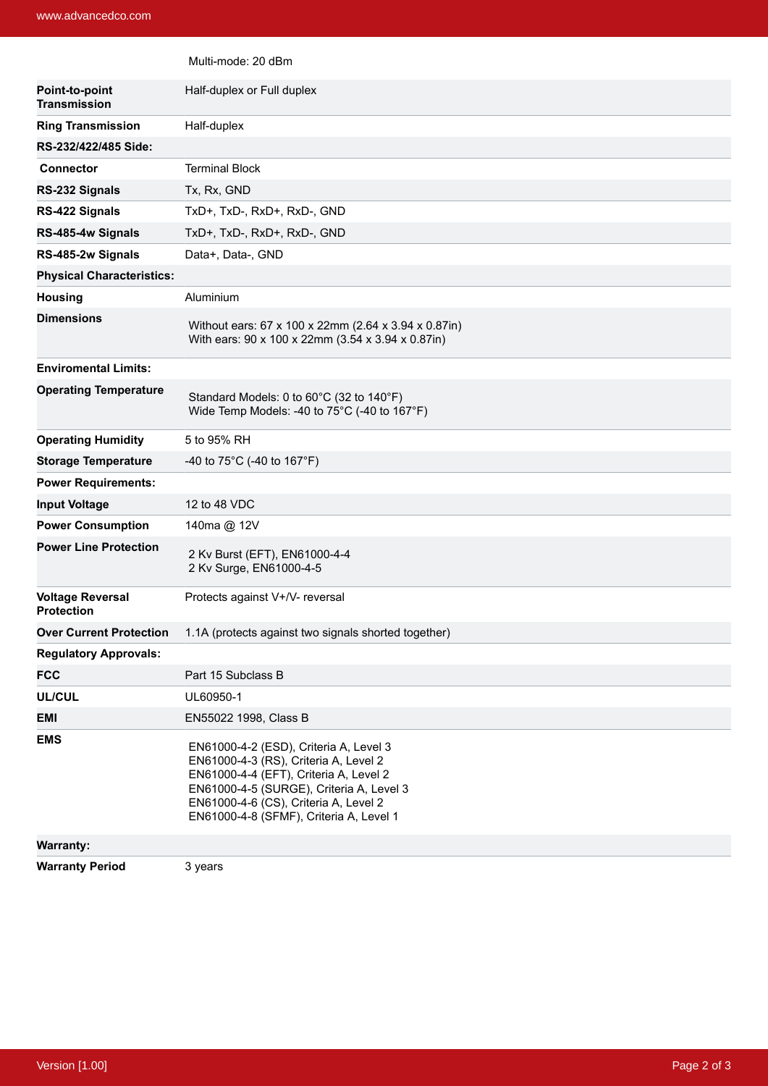|                                              | Multi-mode: 20 dBm                                                                                                                                                                                                                                        |
|----------------------------------------------|-----------------------------------------------------------------------------------------------------------------------------------------------------------------------------------------------------------------------------------------------------------|
| Point-to-point<br><b>Transmission</b>        | Half-duplex or Full duplex                                                                                                                                                                                                                                |
| <b>Ring Transmission</b>                     | Half-duplex                                                                                                                                                                                                                                               |
| RS-232/422/485 Side:                         |                                                                                                                                                                                                                                                           |
| <b>Connector</b>                             | <b>Terminal Block</b>                                                                                                                                                                                                                                     |
| RS-232 Signals                               | Tx, Rx, GND                                                                                                                                                                                                                                               |
| RS-422 Signals                               | TxD+, TxD-, RxD+, RxD-, GND                                                                                                                                                                                                                               |
| RS-485-4w Signals                            | TxD+, TxD-, RxD+, RxD-, GND                                                                                                                                                                                                                               |
| RS-485-2w Signals                            | Data+, Data-, GND                                                                                                                                                                                                                                         |
| <b>Physical Characteristics:</b>             |                                                                                                                                                                                                                                                           |
| <b>Housing</b>                               | Aluminium                                                                                                                                                                                                                                                 |
| <b>Dimensions</b>                            | Without ears: 67 x 100 x 22mm (2.64 x 3.94 x 0.87in)<br>With ears: 90 x 100 x 22mm (3.54 x 3.94 x 0.87in)                                                                                                                                                 |
| <b>Enviromental Limits:</b>                  |                                                                                                                                                                                                                                                           |
| <b>Operating Temperature</b>                 | Standard Models: 0 to 60°C (32 to 140°F)<br>Wide Temp Models: -40 to 75°C (-40 to 167°F)                                                                                                                                                                  |
| <b>Operating Humidity</b>                    | 5 to 95% RH                                                                                                                                                                                                                                               |
| <b>Storage Temperature</b>                   | -40 to $75^{\circ}$ C (-40 to 167°F)                                                                                                                                                                                                                      |
| <b>Power Requirements:</b>                   |                                                                                                                                                                                                                                                           |
| <b>Input Voltage</b>                         | 12 to 48 VDC                                                                                                                                                                                                                                              |
| <b>Power Consumption</b>                     | 140ma @ 12V                                                                                                                                                                                                                                               |
| <b>Power Line Protection</b>                 | 2 Kv Burst (EFT), EN61000-4-4<br>2 Kv Surge, EN61000-4-5                                                                                                                                                                                                  |
| <b>Voltage Reversal</b><br><b>Protection</b> | Protects against V+/V- reversal                                                                                                                                                                                                                           |
| <b>Over Current Protection</b>               | 1.1A (protects against two signals shorted together)                                                                                                                                                                                                      |
| <b>Regulatory Approvals:</b>                 |                                                                                                                                                                                                                                                           |
| <b>FCC</b>                                   | Part 15 Subclass B                                                                                                                                                                                                                                        |
| <b>UL/CUL</b>                                | UL60950-1                                                                                                                                                                                                                                                 |
| EMI                                          | EN55022 1998, Class B                                                                                                                                                                                                                                     |
| <b>EMS</b>                                   | EN61000-4-2 (ESD), Criteria A, Level 3<br>EN61000-4-3 (RS), Criteria A, Level 2<br>EN61000-4-4 (EFT), Criteria A, Level 2<br>EN61000-4-5 (SURGE), Criteria A, Level 3<br>EN61000-4-6 (CS), Criteria A, Level 2<br>EN61000-4-8 (SFMF), Criteria A, Level 1 |
| <b>Warranty:</b>                             |                                                                                                                                                                                                                                                           |
| <b>Warranty Period</b>                       | 3 years                                                                                                                                                                                                                                                   |